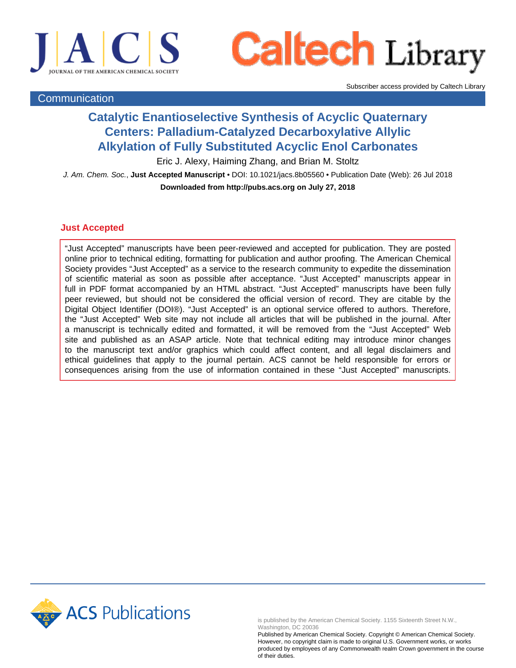

**Caltech Library** 

Subscriber access provided by Caltech Library

# **Communication**

# **Catalytic Enantioselective Synthesis of Acyclic Quaternary Centers: Palladium-Catalyzed Decarboxylative Allylic Alkylation of Fully Substituted Acyclic Enol Carbonates**

Eric J. Alexy, Haiming Zhang, and Brian M. Stoltz

J. Am. Chem. Soc., **Just Accepted Manuscript** • DOI: 10.1021/jacs.8b05560 • Publication Date (Web): 26 Jul 2018 **Downloaded from http://pubs.acs.org on July 27, 2018**

## **Just Accepted**

"Just Accepted" manuscripts have been peer-reviewed and accepted for publication. They are posted online prior to technical editing, formatting for publication and author proofing. The American Chemical Society provides "Just Accepted" as a service to the research community to expedite the dissemination of scientific material as soon as possible after acceptance. "Just Accepted" manuscripts appear in full in PDF format accompanied by an HTML abstract. "Just Accepted" manuscripts have been fully peer reviewed, but should not be considered the official version of record. They are citable by the Digital Object Identifier (DOI®). "Just Accepted" is an optional service offered to authors. Therefore, the "Just Accepted" Web site may not include all articles that will be published in the journal. After a manuscript is technically edited and formatted, it will be removed from the "Just Accepted" Web site and published as an ASAP article. Note that technical editing may introduce minor changes to the manuscript text and/or graphics which could affect content, and all legal disclaimers and ethical guidelines that apply to the journal pertain. ACS cannot be held responsible for errors or consequences arising from the use of information contained in these "Just Accepted" manuscripts.



is published by the American Chemical Society. 1155 Sixteenth Street N.W., Washington, DC 20036

Published by American Chemical Society. Copyright © American Chemical Society. However, no copyright claim is made to original U.S. Government works, or works produced by employees of any Commonwealth realm Crown government in the course of their duties.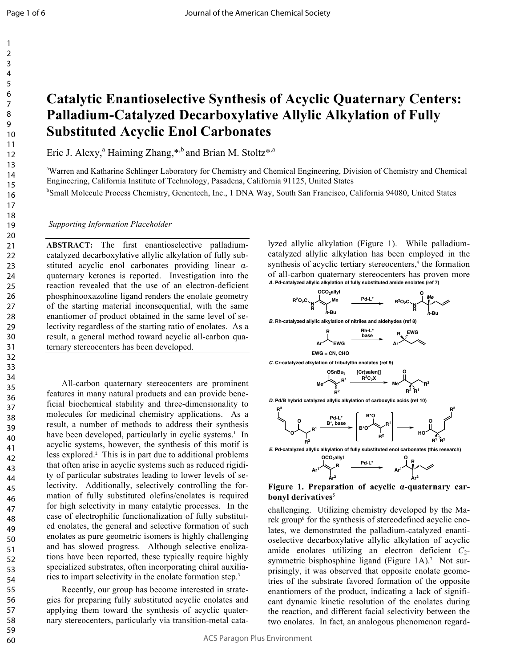# **Catalytic Enantioselective Synthesis of Acyclic Quaternary Centers: Palladium-Catalyzed Decarboxylative Allylic Alkylation of Fully Substituted Acyclic Enol Carbonates**

Eric J. Alexy,<sup>a</sup> Haiming Zhang,\*,b and Brian M. Stoltz\*,a

<sup>a</sup>Warren and Katharine Schlinger Laboratory for Chemistry and Chemical Engineering, Division of Chemistry and Chemical Engineering, California Institute of Technology, Pasadena, California 91125, United States

<sup>b</sup>Small Molecule Process Chemistry, Genentech, Inc., 1 DNA Way, South San Francisco, California 94080, United States

*Supporting Information Placeholder*

**ABSTRACT:** The first enantioselective palladiumcatalyzed decarboxylative allylic alkylation of fully substituted acyclic enol carbonates providing linear αquaternary ketones is reported. Investigation into the reaction revealed that the use of an electron-deficient phosphinooxazoline ligand renders the enolate geometry of the starting material inconsequential, with the same enantiomer of product obtained in the same level of selectivity regardless of the starting ratio of enolates. As a result, a general method toward acyclic all-carbon quaternary stereocenters has been developed.

All-carbon quaternary stereocenters are prominent features in many natural products and can provide beneficial biochemical stability and three-dimensionality to molecules for medicinal chemistry applications. As a result, a number of methods to address their synthesis have been developed, particularly in cyclic systems.<sup>1</sup> In acyclic systems, however, the synthesis of this motif is less explored. 2 This is in part due to additional problems that often arise in acyclic systems such as reduced rigidity of particular substrates leading to lower levels of selectivity. Additionally, selectively controlling the formation of fully substituted olefins/enolates is required for high selectivity in many catalytic processes. In the case of electrophilic functionalization of fully substituted enolates, the general and selective formation of such enolates as pure geometric isomers is highly challenging and has slowed progress. Although selective enolizations have been reported, these typically require highly specialized substrates, often incorporating chiral auxiliaries to impart selectivity in the enolate formation step.<sup>3</sup>

Recently, our group has become interested in strategies for preparing fully substituted acyclic enolates and applying them toward the synthesis of acyclic quaternary stereocenters, particularly via transition-metal cata-

lyzed allylic alkylation (Figure 1). While palladiumcatalyzed allylic alkylation has been employed in the synthesis of acyclic tertiary stereocenters,<sup>4</sup> the formation of all-carbon quaternary stereocenters has proven more *A***. Pd-catalyzed allylic alkylation of fully substituted amide enolates (ref 7)**



#### **Figure 1. Preparation of acyclic α-quaternary carbonyl derivatives<sup>5</sup>**

**Ar<sup>2</sup>**

**Ar<sup>2</sup>**

challenging. Utilizing chemistry developed by the Marek group<sup>6</sup> for the synthesis of stereodefined acyclic enolates, we demonstrated the palladium-catalyzed enantioselective decarboxylative allylic alkylation of acyclic amide enolates utilizing an electron deficient  $C_2$ symmetric bisphosphine ligand (Figure 1A).<sup>7</sup> Not surprisingly, it was observed that opposite enolate geometries of the substrate favored formation of the opposite enantiomers of the product, indicating a lack of significant dynamic kinetic resolution of the enolates during the reaction, and different facial selectivity between the two enolates. In fact, an analogous phenomenon regard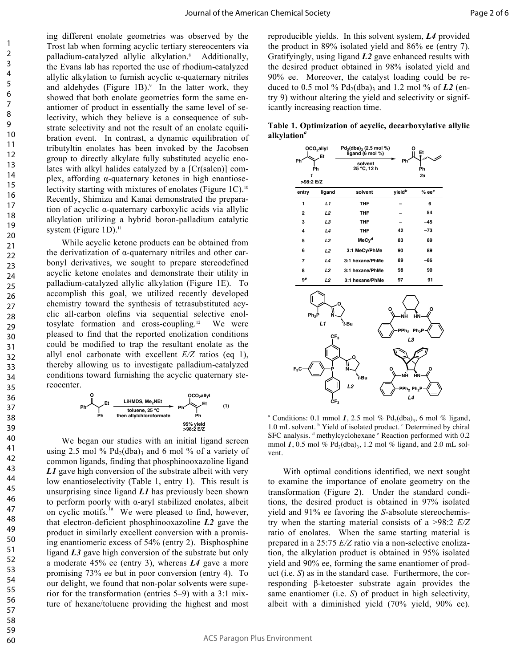ing different enolate geometries was observed by the Trost lab when forming acyclic tertiary stereocenters via palladium-catalyzed allylic alkylation.<sup>8</sup> Additionally, the Evans lab has reported the use of rhodium-catalyzed allylic alkylation to furnish acyclic α-quaternary nitriles and aldehydes (Figure 1B). <sup>9</sup> In the latter work, they showed that both enolate geometries form the same enantiomer of product in essentially the same level of selectivity, which they believe is a consequence of substrate selectivity and not the result of an enolate equilibration event. In contrast, a dynamic equilibration of tributyltin enolates has been invoked by the Jacobsen group to directly alkylate fully substituted acyclic enolates with alkyl halides catalyzed by a [Cr(salen)] complex, affording α-quaternary ketones in high enantioselectivity starting with mixtures of enolates (Figure 1C). 10 Recently, Shimizu and Kanai demonstrated the preparation of acyclic α-quaternary carboxylic acids via allylic alkylation utilizing a hybrid boron-palladium catalytic system (Figure 1D).<sup>11</sup>

While acyclic ketone products can be obtained from the derivatization of α-quaternary nitriles and other carbonyl derivatives, we sought to prepare stereodefined acyclic ketone enolates and demonstrate their utility in palladium-catalyzed allylic alkylation (Figure 1E). To accomplish this goal, we utilized recently developed chemistry toward the synthesis of tetrasubstituted acyclic all-carbon olefins via sequential selective enoltosylate formation and cross-coupling.12 We were pleased to find that the reported enolization conditions could be modified to trap the resultant enolate as the allyl enol carbonate with excellent *E/Z* ratios (eq 1), thereby allowing us to investigate palladium-catalyzed conditions toward furnishing the acyclic quaternary stereocenter.

**Ph OCO2allyl Et Ph LiHMDS, Me2NEt toluene, 25 °C then allylchloroformate 95% yield >98:2 E/Z Ph O Ph Et (1)**

We began our studies with an initial ligand screen using 2.5 mol %  $Pd_2(dba)$  and 6 mol % of a variety of common ligands, finding that phosphinooxazoline ligand *L1* gave high conversion of the substrate albeit with very low enantioselectivity (Table 1, entry 1). This result is unsurprising since ligand *L1* has previously been shown to perform poorly with  $\alpha$ -aryl stabilized enolates, albeit on cyclic motifs.<sup>1a</sup> We were pleased to find, however, that electron-deficient phosphinooxazoline *L2* gave the product in similarly excellent conversion with a promising enantiomeric excess of 54% (entry 2). Bisphosphine ligand *L3* gave high conversion of the substrate but only a moderate 45% ee (entry 3), whereas *L4* gave a more promising 73% ee but in poor conversion (entry 4). To our delight, we found that non-polar solvents were superior for the transformation (entries 5–9) with a 3:1 mixture of hexane/toluene providing the highest and most

reproducible yields. In this solvent system, *L4* provided the product in 89% isolated yield and 86% ee (entry 7). Gratifyingly, using ligand *L2* gave enhanced results with the desired product obtained in 98% isolated yield and 90% ee. Moreover, the catalyst loading could be reduced to 0.5 mol %  $Pd_2(dba)$ <sub>3</sub> and 1.2 mol % of *L2* (entry 9) without altering the yield and selectivity or significantly increasing reaction time.

**Table 1. Optimization of acyclic, decarboxylative allylic alkylation***<sup>a</sup>*

| OCO <sub>2</sub> allyl<br>Et<br>Ph<br>Ph |        | $Pd_2(dba)$ <sub>3</sub> (2.5 mol %)<br>ligand (6 mol %) |                    | Εt        |
|------------------------------------------|--------|----------------------------------------------------------|--------------------|-----------|
|                                          |        | solvent<br>25 °C, 12 h                                   | Ph<br>Ph           |           |
| >98:2 E/Z                                |        |                                                          |                    | 2a        |
| entry                                    | ligand | solvent                                                  | yield <sup>b</sup> | $%ee^{c}$ |
| 1                                        | L1     | THF                                                      |                    | 6         |
| $\overline{2}$                           | L2     | THF                                                      |                    | 54        |
| 3                                        | L3     | THF                                                      |                    | $-45$     |
| 4                                        | L4     | THF                                                      | 42                 | $-73$     |
| 5                                        | L2     | MeCy <sup>d</sup>                                        | 83                 | 89        |
| 6                                        | L2     | 3:1 MeCy/PhMe                                            | 90                 | 89        |
| 7                                        | L4     | 3:1 hexane/PhMe                                          | 89                 | -86       |
| 8                                        | L2     | 3:1 hexane/PhMe                                          | 98                 | 90        |
| ge                                       | L2     | 3:1 hexane/PhMe                                          | 97                 | 91        |



<sup>a</sup> Conditions: 0.1 mmol 1, 2.5 mol %  $Pd_2(dba)$ <sub>3</sub>, 6 mol % ligand, 1.0 mL solvent. <sup>b</sup> Yield of isolated product. <sup>c</sup> Determined by chiral SFC analysis. d methylcyclohexane <sup>e</sup> Reaction performed with 0.2 mmol 1, 0.5 mol %  $Pd_2(dba)$ <sub>3</sub>, 1.2 mol % ligand, and 2.0 mL solvent.

With optimal conditions identified, we next sought to examine the importance of enolate geometry on the transformation (Figure 2). Under the standard conditions, the desired product is obtained in 97% isolated yield and 91% ee favoring the *S*-absolute stereochemistry when the starting material consists of a >98:2 *E/Z* ratio of enolates. When the same starting material is prepared in a 25:75 *E/Z* ratio via a non-selective enolization, the alkylation product is obtained in 95% isolated yield and 90% ee, forming the same enantiomer of product (i.e. *S*) as in the standard case. Furthermore, the corresponding β-ketoester substrate again provides the same enantiomer (i.e. *S*) of product in high selectivity, albeit with a diminished yield (70% yield, 90% ee).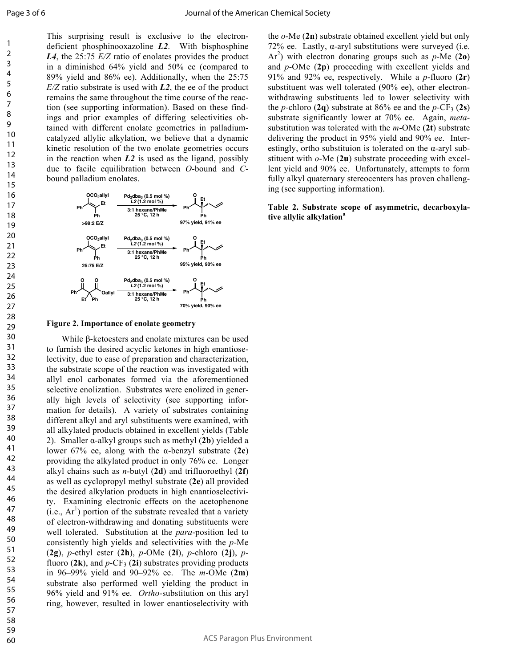This surprising result is exclusive to the electrondeficient phosphinooxazoline *L2*. With bisphosphine *L4*, the 25:75 *E/Z* ratio of enolates provides the product in a diminished 64% yield and 50% ee (compared to 89% yield and 86% ee). Additionally, when the 25:75 *E/Z* ratio substrate is used with *L2*, the ee of the product remains the same throughout the time course of the reaction (see supporting information). Based on these findings and prior examples of differing selectivities obtained with different enolate geometries in palladiumcatalyzed allylic alkylation, we believe that a dynamic kinetic resolution of the two enolate geometries occurs in the reaction when *L2* is used as the ligand, possibly due to facile equilibration between *O*-bound and *C*bound palladium enolates.



#### **Figure 2. Importance of enolate geometry**

While β-ketoesters and enolate mixtures can be used to furnish the desired acyclic ketones in high enantioselectivity, due to ease of preparation and characterization, the substrate scope of the reaction was investigated with allyl enol carbonates formed via the aforementioned selective enolization. Substrates were enolized in generally high levels of selectivity (see supporting information for details). A variety of substrates containing different alkyl and aryl substituents were examined, with all alkylated products obtained in excellent yields (Table 2). Smaller α-alkyl groups such as methyl (**2b**) yielded a lower 67% ee, along with the α-benzyl substrate (**2c**) providing the alkylated product in only 76% ee. Longer alkyl chains such as *n*-butyl (**2d**) and trifluoroethyl (**2f**) as well as cyclopropyl methyl substrate (**2e**) all provided the desired alkylation products in high enantioselectivity. Examining electronic effects on the acetophenone  $(i.e., Ar<sup>1</sup>)$  portion of the substrate revealed that a variety of electron-withdrawing and donating substituents were well tolerated. Substitution at the *para*-position led to consistently high yields and selectivities with the *p*-Me (**2g**), *p*-ethyl ester (**2h**), *p*-OMe (**2i**), *p*-chloro (**2j**), *p*fluoro  $(2k)$ , and  $p$ -CF<sub>3</sub>  $(2i)$  substrates providing products in 96–99% yield and 90–92% ee. The *m*-OMe (**2m**) substrate also performed well yielding the product in 96% yield and 91% ee. *Ortho*-substitution on this aryl ring, however, resulted in lower enantioselectivity with

the *o*-Me (**2n**) substrate obtained excellent yield but only 72% ee. Lastly, α-aryl substitutions were surveyed (i.e. Ar<sup>2</sup>) with electron donating groups such as  $p$ -Me (2o) and *p-*OMe (**2p**) proceeding with excellent yields and 91% and 92% ee, respectively. While a *p*-fluoro (**2r**) substituent was well tolerated (90% ee), other electronwithdrawing substituents led to lower selectivity with the *p*-chloro (2q) substrate at 86% ee and the *p*-CF<sub>3</sub> (2s) substrate significantly lower at 70% ee. Again, *meta*substitution was tolerated with the *m*-OMe (**2t**) substrate delivering the product in 95% yield and 90% ee. Interestingly, ortho substituion is tolerated on the α-aryl substituent with *o*-Me (**2u**) substrate proceeding with excellent yield and 90% ee. Unfortunately, attempts to form fully alkyl quaternary stereocenters has proven challenging (see supporting information).

#### **Table 2. Substrate scope of asymmetric, decarboxylative allylic alkylation<sup>a</sup>**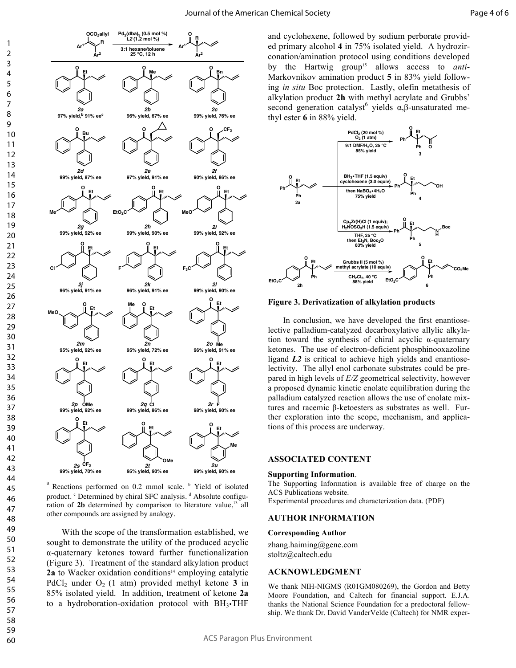

 $a$  Reactions performed on 0.2 mmol scale.  $b$  Yield of isolated product. <sup>c</sup> Determined by chiral SFC analysis. <sup>d</sup> Absolute configuration of  $2b$  determined by comparison to literature value,<sup>13</sup> all other compounds are assigned by analogy.

With the scope of the transformation established, we sought to demonstrate the utility of the produced acyclic α-quaternary ketones toward further functionalization (Figure 3). Treatment of the standard alkylation product **2a** to Wacker oxidation conditions<sup>14</sup> employing catalytic PdCl<sub>2</sub> under  $O_2$  (1 atm) provided methyl ketone 3 in 85% isolated yield. In addition, treatment of ketone **2a** to a hydroboration-oxidation protocol with  $BH_3$ -THF

and cyclohexene, followed by sodium perborate provided primary alcohol **4** in 75% isolated yield. A hydrozirconation/amination protocol using conditions developed by the Hartwig group<sup>15</sup> allows access to *anti*-Markovnikov amination product **5** in 83% yield following *in situ* Boc protection. Lastly, olefin metathesis of alkylation product **2h** with methyl acrylate and Grubbs' second generation catalyst<sup>6</sup> yields  $α, β$ -unsaturated methyl ester **6** in 88% yield.



**Figure 3. Derivatization of alkylation products**

In conclusion, we have developed the first enantioselective palladium-catalyzed decarboxylative allylic alkylation toward the synthesis of chiral acyclic α-quaternary ketones. The use of electron-deficient phosphinooxazoline ligand *L2* is critical to achieve high yields and enantioselectivity. The allyl enol carbonate substrates could be prepared in high levels of *E/Z* geometrical selectivity, however a proposed dynamic kinetic enolate equilibration during the palladium catalyzed reaction allows the use of enolate mixtures and racemic β-ketoesters as substrates as well. Further exploration into the scope, mechanism, and applications of this process are underway.

## **ASSOCIATED CONTENT**

### **Supporting Information**.

The Supporting Information is available free of charge on the ACS Publications website. Experimental procedures and characterization data. (PDF)

# **AUTHOR INFORMATION**

#### **Corresponding Author**

zhang.haiming@gene.com stoltz@caltech.edu

### **ACKNOWLEDGMENT**

We thank NIH-NIGMS (R01GM080269), the Gordon and Betty Moore Foundation, and Caltech for financial support. E.J.A. thanks the National Science Foundation for a predoctoral fellowship. We thank Dr. David VanderVelde (Caltech) for NMR exper-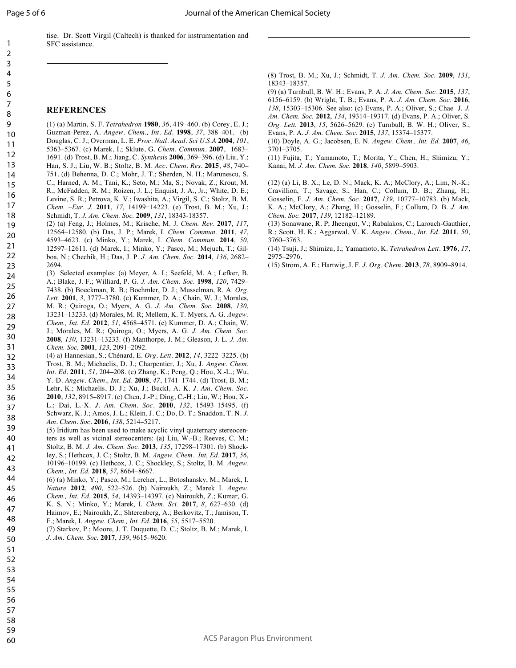$\overline{a}$ 

tise. Dr. Scott Virgil (Caltech) is thanked for instrumentation and SFC assistance.

#### **REFERENCES**

 $\overline{a}$ 

(1) (a) Martin, S. F. *Tetrahedron* **1980**, *36*, 419–460. (b) Corey, E. J.; Guzman-Perez, A. *Angew. Chem., Int. Ed.* **1998**, *37*, 388–401. (b) Douglas, C. J.; Overman, L. E. *Proc. Natl. Acad. Sci U.S.A* **2004**, *101*, 5363–5367. (c) Marek, I.; Sklute, G. *Chem. Commun.* **2007**, 1683– 1691. (d) Trost, B. M.; Jiang, C. *Synthesis* **2006**, 369–396. (d) Liu, Y.; Han, S. J.; Liu, W. B.; Stoltz, B. M. *Acc. Chem. Res.* **2015**, *48*, 740– 751. (d) Behenna, D. C.; Mohr, J. T.; Sherden, N. H.; Marunescu, S. C.; Harned, A. M.; Tani, K.; Seto, M.; Ma, S.; Novak, Z.; Krout, M. 10 11 12 13 14 15

R.; McFadden, R. M.; Roizen, J. L.; Enquist, J. A., Jr.; White, D. E.; Levine, S. R.; Petrova, K. V.; Iwashita, A.; Virgil, S. C.; Stoltz, B. M. *Chem. –Eur. J.* **2011**, *17*, 14199−14223. (e) Trost, B. M.; Xu, J.; Schmidt, T. *J. Am. Chem. Soc.* **2009**, *131*, 18343-18357. 16 17 18

(2) (a) Feng, J.; Holmes, M.; Krische, M. J. *Chem. Rev.* **2017**, *117*, 12564–12580. (b) Das, J. P.; Marek, I. *Chem. Commun*. **2011**, *47*, 4593–4623. (c) Minko, Y.; Marek, I. *Chem. Commun.* **2014**, *50*, 19 20

- 12597–12611. (d) Marek, I.; Minko, Y.; Pasco, M.; Mejuch, T.; Gilboa, N.; Chechik, H.; Das, J. P. *J. Am. Chem. Soc.* **2014**, *136*, 2682– 2694. 21 22 23
- (3) Selected examples: (a) Meyer, A. I.; Seefeld, M. A.; Lefker, B. A.; Blake, J. F.; Williard, P. G. *J. Am. Chem. Soc.* **1998**, *120*, 7429– 7438. (b) Boeckman, R. B.; Boehmler, D. J.; Musselman, R. A. *Org. Lett.* **2001**, *3*, 3777–3780. (c) Kummer, D. A.; Chain, W. J.; Morales, M. R.; Quiroga, O.; Myers, A. G. *J. Am. Chem. Soc.* **2008**, *130*, 13231–13233. (d) Morales, M. R; Mellem, K. T. Myers, A. G. *Angew. Chem., Int. Ed.* **2012**, *51*, 4568–4571. (e) Kummer, D. A.; Chain, W. J.; Morales, M. R.; Quiroga, O.; Myers, A. G. *J. Am. Chem. Soc.*  **2008**, *130*, 13231–13233. (f) Manthorpe, J. M.; Gleason, J. L. *J. Am.*  24 25 26 27 28 29 30
- *Chem. Soc.* **2001**, *123*, 2091–2092. (4) a) Hannesian, S.; Chénard, E. *Org. Lett.* **2012**, *14*, 3222–3225. (b) Trost, B. M.; Michaelis, D. J.; Charpentier, J.; Xu, J. *Angew. Chem. Int. Ed.* **2011**, *51*, 204–208. (c) Zhang, K.; Peng, Q.; Hou, X.-L.; Wu, 31 32 33 34
- Y.-D. *Angew. Chem., Int. Ed.* **2008**, *47*, 1741–1744. (d) Trost, B. M.; Lehr, K.; Michaelis, D. J.; Xu, J.; Buckl, A. K. *J. Am. Chem. Soc.*  **2010**, *132*, 8915–8917. (e) Chen, J.-P.; Ding, C.-H.; Liu, W.; Hou, X.- L.; Dai, L.-X. *J. Am. Chem. Soc.* **2010**, *132*, 15493–15495. (f) 35 36
- Schwarz, K. J.; Amos, J. L.; Klein, J. C.; Do, D. T.; Snaddon, T. N. *J. Am. Chem. Soc.* **2016**, *138*, 5214–5217. 37 38

(5) Iridium has been used to make acyclic vinyl quaternary stereocenters as well as vicinal stereocenters: (a) Liu, W.-B.; Reeves, C. M.; Stoltz, B. M. *J. Am. Chem. Soc.* **2013**, *135*, 17298–17301. (b) Shock-39 40 41

ley, S.; Hethcox, J. C.; Stoltz, B. M. *Angew. Chem., Int. Ed.* **2017**, *56*, 10196–10199. (c) Hethcox, J. C.; Shockley, S.; Stoltz, B. M. *Angew. Chem., Int. Ed.* **2018**, *57*, 8664–8667. 42 43

(6) (a) Minko, Y.; Pasco, M.; Lercher, L.; Botoshansky, M.; Marek, I. *Nature* **2012**, *490*, 522–526. (b) Nairoukh, Z.; Marek I. *Angew. Chem., Int. Ed.* **2015**, *54*, 14393–14397. (c) Nairoukh, Z.; Kumar, G. K. S. N.; Minko, Y.; Marek, I. *Chem. Sci.* **2017**, *8*, 627–630. (d) Haimov, E.; Nairoukh, Z.; Shterenberg, A.; Berkovitz, T.; Jamison, T. 44 45 46 47

F.; Marek, I. *Angew. Chem., Int. Ed.* **2016**, *55*, 5517–5520. 48

(7) Starkov, P.; Moore, J. T. Duquette, D. C.; Stoltz, B. M.; Marek, I. *J. Am. Chem. Soc.* **2017**, *139*, 9615–9620.

(8) Trost, B. M.; Xu, J.; Schmidt, T. *J. Am. Chem. Soc.* **2009**, *131*, 18343–18357.

(9) (a) Turnbull, B. W. H.; Evans, P. A. *J. Am. Chem. Soc.* **2015**, *137*, 6156–6159. (b) Wright, T. B.; Evans, P. A. *J. Am. Chem. Soc.* **2016**, *138*, 15303–15306. See also: (c) Evans, P. A.; Oliver, S.; Chae J. *J. Am. Chem. Soc.* **2012**, *134*, 19314–19317. (d) Evans, P. A.; Oliver, S. *Org. Lett.* **2013**, *15*, 5626–5629. (e) Turnbull, B. W. H.; Oliver, S.; Evans, P. A. *J. Am. Chem. Soc.* **2015**, *137*, 15374–15377.

(10) Doyle, A. G.; Jacobsen, E. N. *Angew. Chem., Int. Ed.* **2007**, *46*, 3701–3705.

(11) Fujita, T.; Yamamoto, T.; Morita, Y.; Chen, H.; Shimizu, Y.; Kanai, M. *J. Am. Chem. Soc.* **2018**, *140*, 5899–5903.

(12) (a) Li, B. X.; Le, D. N.; Mack, K. A.; McClory, A.; Lim, N.-K.; Cravillion, T.; Savage, S.; Han, C.; Collum, D. B.; Zhang, H.; Gosselin, F. *J. Am. Chem. Soc.* **2017**, *139*, 10777–10783. (b) Mack, K. A.; McClory, A.; Zhang, H.; Gosselin, F.; Collum, D. B. *J. Am. Chem. Soc.* **2017**, *139*, 12182–12189.

(13) Sonawane, R. P; Jheengut, V.; Rabalakos, C.; Larouch-Gauthier, R.; Scott, H. K.; Aggarwal, V. K. *Angew. Chem., Int. Ed.* **2011**, *50*, 3760–3763.

(14) Tsuji, J.; Shimizu, I.; Yamamoto, K. *Tetrahedron Lett.* **1976**, *17*, 2975–2976.

(15) Strom, A. E.; Hartwig, J. F. *J. Org. Chem.* **2013**, *78*, 8909–8914.